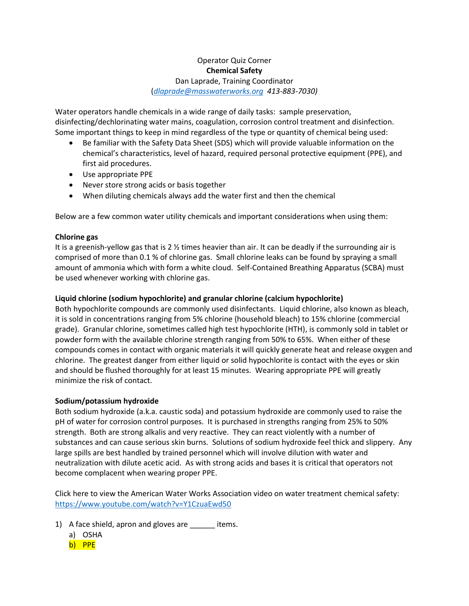## Operator Quiz Corner **Chemical Safety** Dan Laprade, Training Coordinator (*[dlaprade@masswaterworks.org](mailto:dlaprade@masswaterworks.org) 413-883-7030)*

Water operators handle chemicals in a wide range of daily tasks: sample preservation, disinfecting/dechlorinating water mains, coagulation, corrosion control treatment and disinfection. Some important things to keep in mind regardless of the type or quantity of chemical being used:

- Be familiar with the Safety Data Sheet (SDS) which will provide valuable information on the chemical's characteristics, level of hazard, required personal protective equipment (PPE), and first aid procedures.
- Use appropriate PPE
- Never store strong acids or basis together
- When diluting chemicals always add the water first and then the chemical

Below are a few common water utility chemicals and important considerations when using them:

## **Chlorine gas**

It is a greenish-yellow gas that is 2  $\frac{1}{2}$  times heavier than air. It can be deadly if the surrounding air is comprised of more than 0.1 % of chlorine gas. Small chlorine leaks can be found by spraying a small amount of ammonia which with form a white cloud. Self-Contained Breathing Apparatus (SCBA) must be used whenever working with chlorine gas.

## **Liquid chlorine (sodium hypochlorite) and granular chlorine (calcium hypochlorite)**

Both hypochlorite compounds are commonly used disinfectants. Liquid chlorine, also known as bleach, it is sold in concentrations ranging from 5% chlorine (household bleach) to 15% chlorine (commercial grade). Granular chlorine, sometimes called high test hypochlorite (HTH), is commonly sold in tablet or powder form with the available chlorine strength ranging from 50% to 65%. When either of these compounds comes in contact with organic materials it will quickly generate heat and release oxygen and chlorine. The greatest danger from either liquid or solid hypochlorite is contact with the eyes or skin and should be flushed thoroughly for at least 15 minutes. Wearing appropriate PPE will greatly minimize the risk of contact.

## **Sodium/potassium hydroxide**

Both sodium hydroxide (a.k.a. caustic soda) and potassium hydroxide are commonly used to raise the pH of water for corrosion control purposes. It is purchased in strengths ranging from 25% to 50% strength. Both are strong alkalis and very reactive. They can react violently with a number of substances and can cause serious skin burns. Solutions of sodium hydroxide feel thick and slippery. Any large spills are best handled by trained personnel which will involve dilution with water and neutralization with dilute acetic acid. As with strong acids and bases it is critical that operators not become complacent when wearing proper PPE.

Click here to view the American Water Works Association video on water treatment chemical safety: <https://www.youtube.com/watch?v=Y1CzuaEwd50>

- 1) A face shield, apron and gloves are \_\_\_\_\_\_ items.
	- a) OSHA
	- b) PPE